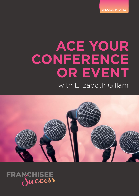**SPEAKER PROFILE**

# with Elizabeth Gillam **ACE YOUR CONFERENCE OR EVENT**



# FRAMCHISEE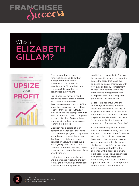

# Who is ELIZABETH GILLAM?



From accountant to award winning franchisee, to author, mentor and now keynote presenter to franchisees all over Australia, Elizabeth Gillam is a powerful inspiration to franchisees everywhere.

Her 10 year journey as a food franchisee across three different food brands saw Elizabeth develop a 6 step process to **ACE** a franchised business. Her method teaches franchisees to *Analyse* their business and team; *Customise* their business and team to improve productivity; then *Enforce* these systems within their business and team to build profit.

Elizabeth has a stable of high performing franchisees that have completed her program. They boast about being amongst the group that have the highest average transaction value, the best audit and mystery shop results, time to spend on activities that they deem important and being the franchisors award winners.

Having been a franchisee herself and experienced first hand the day to day grind of running a franchised business, Elizabeth speaks with

credibility on her subject. She injects her personable style of presentation across the stage that leads the audience to look at themselves with new eyes and ready to implement changes immediately within their business and management style to improve their profitability and performance as a franchisee.

Elizabeth is generous with the knowledge she shares, but she leaves the audience with a *"road map"* on how to be a success with their franchised business. This road map is further detailed in her book "Upsize your Profit – 6 steps to running a profitable food franchise".

Elizabeth likes to give franchisees *peace of mind* by showing them how they can know in as little a 5 minutes each morning that their business is on track. Her presentations are warmly received not only because she breaks down information into bite-size actions that leave the audience with a great take-away, but because she shows franchisees how they can have more time, more money and a team that work together to deliver a quality product with excellent customer service.



**P** 1300 159 117 **<sup>E</sup>** elizabeth@franchiseesuccess.com.au **2 <sup>W</sup>** franchiseesuccess.com.au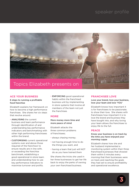## speaker profile



### **ACE YOUR BUSINESS**

#### 6 steps to running a profitable food franchise

Elizabeth explains her framework on how to become a high performance franchisee. She shares her six steps that revolve around.

- ANALYSING the current business and team performance through identification of and understanding key performance indicators and benchmarking with other high performing franchisees within the brand.
- CUSTOMISING current operational systems over and above those required of the franchisor to ensure results are in line with, or exceeding the franchise benchmark, establishing a good operational in-store team and understanding how to use key performance indicators to maximise turnover and profits.

• ENFORCING good operational habits within the franchised business unit by implementing in-store systems that involve all members of the team not just the franchisee.

### **MORE**

### More money more time and more peace of mind

Elizabeth attacks the three common problems of franchisees;

- always chasing money;
- not having enough time to do the things you want, and
- having a team that just will NOT do as you have trained them

She shares the tricks she used in her three businesses to get her life back to enjoy the perks of owning your own franchised business.

### **FRANCHISEE LOVE**

Love your brand, love your business, love your team and love 'YOU'

Elizabeth knows how important it is for franchisees to be passionate; to show their love. She shares with franchisees how important it is to love the brand and business they have bought into, and why loving your team allows the franchisee to enjoy life to the full.

### **PEACE**

### Know your business is on track by the time you have enjoyed your morning cuppa

Elizabeth shares how she and her husband implemented a monitoring system within their three franchised businesses that showed them within 5 minutes every morning that their businesses were on track and reaching the goals they had set to ensure profitability and operational excellence.

**3**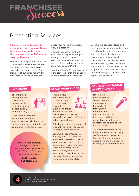

## Presenting Services

### **Elizabeth can be booked to present keynote presentations, workshops, retreats, panels she can even be the MC at your next conference**

She works closely with Franchisors to ensure that she knows the exact message that they need to get across to their franchisors. She then sets about tailor making the presentation to ensure that she

meets your needs and exceeds every expectation

Elizabeth speaks on authority on a range of topics relating to running a successful food franchise. Most of these topics she has already addressed in her book "Upsize your Profit".

Most importantly Elizabeth presents in the same way that she conducts all her business and that is she

uses her personable nature and her "hands on" experience to relate directly to the franchisee in a way that they immediately relate to. She is a very down to earth presenter who can connect with an audience regardless of where they are from or what their business may be. Elizabeth will leave any audience energised inspired and ready to take action.

Technology is making it easier than ever to deliver training to vast groups of people quickly and effectively.



Choose your topic and Elizabeth will create a specific webinar which can be delivered pre-recorded or live to your entire franchisee group.

*She's the type of person to happily share her knowledge and experience with others so they, too, can succeed in life.* 

> **Scott Meneilly, CEO Retail Zoo**

Training your entire franchisee group can be a complex task. Elizabeth is available to travel around Australia to



deliver specific training to smaller groups in half-day or full-day workshops.

Select your topics from any that Elizabeth covers in her Bronze training or from her book.

Each workshop attendee will not only leave the workshop energised inspired and ready to take action but also with a booklet covering all aspects that were covered in the workshop together with templates so that they can put the newly learned strategies into practice immediately.

### **WEBINARS CONFERENCE MASTER**<br>
WEBINARS **of Ceremonies**

Isn't it hard to get a Master of ceremonies who understands the world of franchising? Someone who just does not simply introduce and thank the presenters but will inject excitement and enthusiasm into the room.

As a multibrand franchisee Elizabeth has attended many conferences and knows first hand what works and what doesn't. Talk to her about how to bring your conference alive.



**P** 1300 159 117 **<sup>E</sup>** elizabeth@franchiseesuccess.com.au **4 <sup>W</sup>** franchiseesuccess.com.au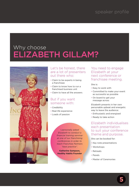# Why choose ELIZABETH GILLAM?



### Let's be honest, there are a lot of presenters out there who:

- Claim to be experts in being a franchisee
- Claim to know how to run a franchised business unit
- Claim to have all the answers

### But if you want someone with:

- Credibility
- Real life experience
- Loads of passion

*I personally asked Elizabeth to conduct a financial training seminar at one of our franchising conferences in order to teach Franchise Partners "best practice".* 

**Katherine Sampson, Healthy Habits Founder** You need to engage Elizabeth at your next conference or franchisee meeting.

### She is:

- Easy to work with
- Committed to make your event as successful as possible
- On board to get your message across

Elizabeth presents in her own personable upbeat and energetic way to leave the audience:

- Enthusiastic and energised
- Ready to take action

### Elizabeth individualises each presentation to suit your conference theme and purpose.

She can be booked for:

- Key note presentations
- Workshops
- Retreats
- Panels
- Master of Ceremonies